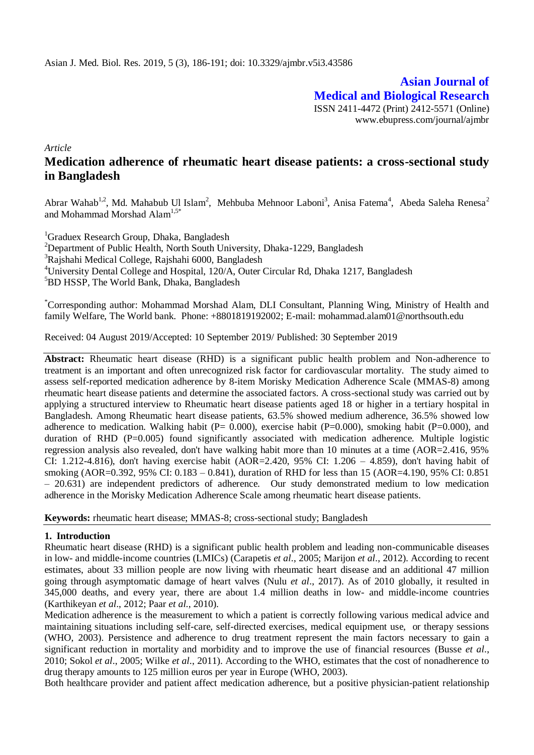**Asian Journal of Medical and Biological Research** ISSN 2411-4472 (Print) 2412-5571 (Online) www.ebupress.com/journal/ajmbr

*Article*

# **Medication adherence of rheumatic heart disease patients: a cross-sectional study in Bangladesh**

Abrar Wahab<sup>1,2</sup>, Md. Mahabub Ul Islam<sup>2</sup>, Mehbuba Mehnoor Laboni<sup>3</sup>, Anisa Fatema<sup>4</sup>, Abeda Saleha Renesa<sup>2</sup> and Mohammad Morshad Alam<sup>1,5\*</sup>

<sup>1</sup>Graduex Research Group, Dhaka, Bangladesh <sup>2</sup>Department of Public Health, North South University, Dhaka-1229, Bangladesh <sup>3</sup>Rajshahi Medical College, Rajshahi 6000, Bangladesh <sup>4</sup>University Dental College and Hospital, 120/A, Outer Circular Rd, Dhaka 1217, Bangladesh <sup>5</sup>BD HSSP, The World Bank, Dhaka, Bangladesh

\*Corresponding author: Mohammad Morshad Alam, DLI Consultant, Planning Wing, Ministry of Health and family Welfare, The World bank. Phone: +8801819192002; E-mail: [mohammad.alam01@northsouth.edu](mailto:mohammad.alam01@northsouth.edu)

Received: 04 August 2019/Accepted: 10 September 2019/ Published: 30 September 2019

**Abstract:** Rheumatic heart disease (RHD) is a significant public health problem and Non-adherence to treatment is an important and often unrecognized risk factor for cardiovascular mortality. The study aimed to assess self-reported medication adherence by 8-item Morisky Medication Adherence Scale (MMAS-8) among rheumatic heart disease patients and determine the associated factors. A cross-sectional study was carried out by applying a structured interview to Rheumatic heart disease patients aged 18 or higher in a tertiary hospital in Bangladesh. Among Rheumatic heart disease patients, 63.5% showed medium adherence, 36.5% showed low adherence to medication. Walking habit ( $P = 0.000$ ), exercise habit ( $P=0.000$ ), smoking habit ( $P=0.000$ ), and duration of RHD (P=0.005) found significantly associated with medication adherence. Multiple logistic regression analysis also revealed, don't have walking habit more than 10 minutes at a time (AOR=2.416, 95% CI: 1.212-4.816), don't having exercise habit (AOR=2.420, 95% CI: 1.206 – 4.859), don't having habit of smoking (AOR=0.392, 95% CI: 0.183 – 0.841), duration of RHD for less than 15 (AOR=4.190, 95% CI: 0.851 – 20.631) are independent predictors of adherence. Our study demonstrated medium to low medication adherence in the Morisky Medication Adherence Scale among rheumatic heart disease patients.

**Keywords:** rheumatic heart disease; MMAS-8; cross-sectional study; Bangladesh

#### **1. Introduction**

Rheumatic heart disease (RHD) is a significant public health problem and leading non-communicable diseases in low- and middle-income countries (LMICs) (Carapetis *et al*., 2005; Marijon *et al*., 2012). According to recent estimates, about 33 million people are now living with rheumatic heart disease and an additional 47 million going through asymptomatic damage of heart valves (Nulu *et al*., 2017). As of 2010 globally, it resulted in 345,000 deaths, and every year, there are about 1.4 million deaths in low- and middle-income countries (Karthikeyan *et al*., 2012; Paar *et al*., 2010).

Medication adherence is the measurement to which a patient is correctly following various medical advice and maintaining situations including self-care, self-directed exercises, medical equipment use, or therapy sessions (WHO, 2003). Persistence and adherence to drug treatment represent the main factors necessary to gain a significant reduction in mortality and morbidity and to improve the use of financial resources (Busse *et al*., 2010; Sokol *et al*., 2005; Wilke *et al*., 2011). According to the WHO, estimates that the cost of nonadherence to drug therapy amounts to 125 million euros per year in Europe (WHO, 2003).

Both healthcare provider and patient affect medication adherence, but a positive physician-patient relationship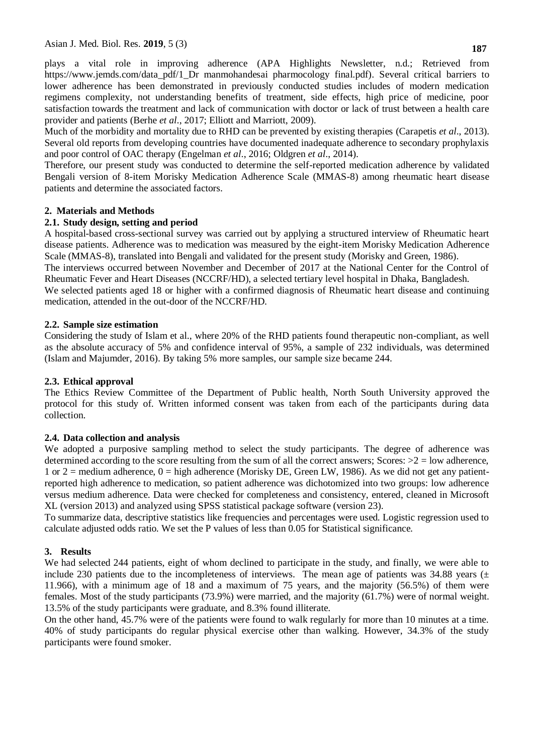plays a vital role in improving adherence (APA Highlights Newsletter, n.d.; Retrieved from https://www.jemds.com/data\_pdf/1\_Dr manmohandesai pharmocology final.pdf). Several critical barriers to lower adherence has been demonstrated in previously conducted studies includes of modern medication regimens complexity, not understanding benefits of treatment, side effects, high price of medicine, poor satisfaction towards the treatment and lack of communication with doctor or lack of trust between a health care provider and patients (Berhe *et al*., 2017; Elliott and Marriott, 2009).

Much of the morbidity and mortality due to RHD can be prevented by existing therapies (Carapetis *et al*., 2013). Several old reports from developing countries have documented inadequate adherence to secondary prophylaxis and poor control of OAC therapy (Engelman *et al*., 2016; Oldgren *et al*., 2014).

Therefore, our present study was conducted to determine the self-reported medication adherence by validated Bengali version of 8-item Morisky Medication Adherence Scale (MMAS-8) among rheumatic heart disease patients and determine the associated factors.

### **2. Materials and Methods**

### **2.1. Study design, setting and period**

A hospital-based cross-sectional survey was carried out by applying a structured interview of Rheumatic heart disease patients. Adherence was to medication was measured by the eight-item Morisky Medication Adherence Scale (MMAS-8), translated into Bengali and validated for the present study (Morisky and Green, 1986). The interviews occurred between November and December of 2017 at the National Center for the Control of

Rheumatic Fever and Heart Diseases (NCCRF/HD), a selected tertiary level hospital in Dhaka, Bangladesh. We selected patients aged 18 or higher with a confirmed diagnosis of Rheumatic heart disease and continuing medication, attended in the out-door of the NCCRF/HD.

#### **2.2. Sample size estimation**

Considering the study of Islam et al., where 20% of the RHD patients found therapeutic non-compliant, as well as the absolute accuracy of 5% and confidence interval of 95%, a sample of 232 individuals, was determined (Islam and Majumder, 2016). By taking 5% more samples, our sample size became 244.

#### **2.3. Ethical approval**

The Ethics Review Committee of the Department of Public health, North South University approved the protocol for this study of. Written informed consent was taken from each of the participants during data collection.

#### **2.4. Data collection and analysis**

We adopted a purposive sampling method to select the study participants. The degree of adherence was determined according to the score resulting from the sum of all the correct answers; Scores:  $>2 =$  low adherence, 1 or 2 = medium adherence,  $0 =$  high adherence (Morisky DE, Green LW, 1986). As we did not get any patientreported high adherence to medication, so patient adherence was dichotomized into two groups: low adherence versus medium adherence. Data were checked for completeness and consistency, entered, cleaned in Microsoft XL (version 2013) and analyzed using SPSS statistical package software (version 23).

To summarize data, descriptive statistics like frequencies and percentages were used. Logistic regression used to calculate adjusted odds ratio. We set the P values of less than 0.05 for Statistical significance.

## **3. Results**

We had selected 244 patients, eight of whom declined to participate in the study, and finally, we were able to include 230 patients due to the incompleteness of interviews. The mean age of patients was 34.88 years  $(±)$ 11.966), with a minimum age of 18 and a maximum of 75 years, and the majority (56.5%) of them were females. Most of the study participants (73.9%) were married, and the majority (61.7%) were of normal weight. 13.5% of the study participants were graduate, and 8.3% found illiterate.

On the other hand, 45.7% were of the patients were found to walk regularly for more than 10 minutes at a time. 40% of study participants do regular physical exercise other than walking. However, 34.3% of the study participants were found smoker.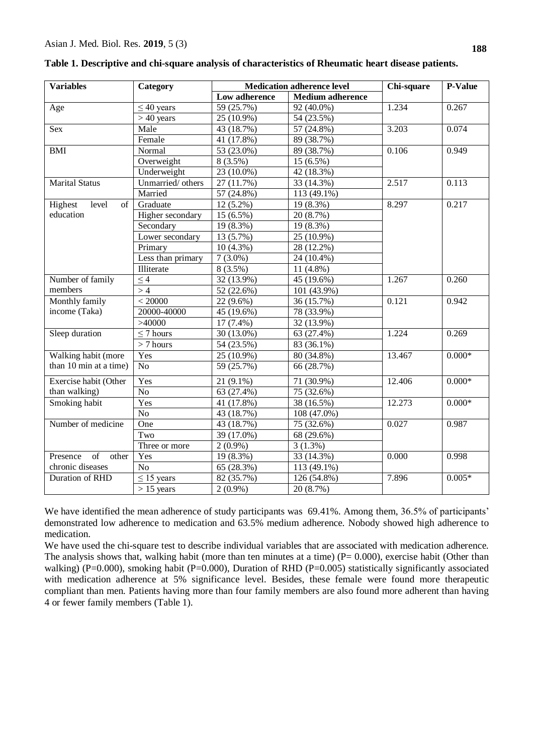Presence of other chronic diseases

| <b>Variables</b>       | Category          | <b>Medication adherence level</b>                             | Chi-square              | <b>P-Value</b>                       |          |  |
|------------------------|-------------------|---------------------------------------------------------------|-------------------------|--------------------------------------|----------|--|
|                        |                   | Low adherence                                                 | <b>Medium adherence</b> |                                      |          |  |
| Age                    | $\leq$ 40 years   | 59 (25.7%)                                                    | 92 (40.0%)              | 1.234                                | 0.267    |  |
|                        | $> 40$ years      | 25 (10.9%)                                                    | 54 (23.5%)              |                                      |          |  |
| Sex                    | Male              | 3.203<br>43 (18.7%)<br>57 (24.8%)<br>41 (17.8%)<br>89 (38.7%) |                         |                                      | 0.074    |  |
|                        | Female            |                                                               |                         |                                      |          |  |
| BMI                    | Normal            | 53 (23.0%)                                                    | 89 (38.7%)              |                                      | 0.949    |  |
|                        | Overweight        | $8(3.5\%)$                                                    | 15 (6.5%)               |                                      |          |  |
|                        | Underweight       | 23 (10.0%)                                                    | 42 (18.3%)              |                                      |          |  |
| <b>Marital Status</b>  | Unmarried/ others | 27 (11.7%)                                                    | 33 (14.3%)              | 2.517                                | 0.113    |  |
|                        | Married           | 57 (24.8%)                                                    | 113 (49.1%)             |                                      |          |  |
| Highest<br>of<br>level | Graduate          | $12(5.2\%)$                                                   | 19 (8.3%)               | 8.297                                | 0.217    |  |
| education              | Higher secondary  | $15(6.5\%)$                                                   | 20 (8.7%)               |                                      |          |  |
|                        | Secondary         | 19 (8.3%)                                                     | 19 (8.3%)               |                                      |          |  |
|                        | Lower secondary   | 13 (5.7%)                                                     | 25 (10.9%)              |                                      |          |  |
|                        | Primary           | $10(4.3\%)$                                                   | 28 (12.2%)              |                                      |          |  |
|                        | Less than primary | $7(3.0\%)$                                                    | 24 (10.4%)              |                                      |          |  |
|                        | Illiterate        | $8(3.5\%)$                                                    | 11 (4.8%)               |                                      |          |  |
| Number of family       | $\leq 4$          | 32 (13.9%)                                                    | 45 (19.6%)              | 1.267                                | 0.260    |  |
| members                | >4                | 52 (22.6%)                                                    | 101 (43.9%)             |                                      |          |  |
| Monthly family         | < 20000           | 22 (9.6%)                                                     | 36 (15.7%)              | 0.121                                | 0.942    |  |
| income (Taka)          | 20000-40000       | 45 (19.6%)                                                    | 78 (33.9%)              |                                      |          |  |
|                        | >40000            | $17(7.4\%)$                                                   | 32 (13.9%)              |                                      |          |  |
| Sleep duration         | $\leq$ 7 hours    | 30 (13.0%)                                                    | 63 (27.4%)              | 1.224<br>0.269<br>$0.000*$<br>13.467 |          |  |
|                        | $> 7$ hours       | 54 (23.5%)                                                    | 83 (36.1%)              |                                      |          |  |
| Walking habit (more    | Yes               | 25 (10.9%)                                                    | 80 (34.8%)              |                                      |          |  |
| than 10 min at a time) | N <sub>o</sub>    | 59 (25.7%)                                                    | 66 (28.7%)              |                                      |          |  |
| Exercise habit (Other  | Yes               | 21 (9.1%)                                                     | 71 (30.9%)              | $12.\overline{406}$                  | $0.000*$ |  |
| than walking)          | N <sub>o</sub>    | 63 (27.4%)<br>75 (32.6%)                                      |                         |                                      |          |  |
| Smoking habit          | Yes               | 41 (17.8%)                                                    | 38 (16.5%)              | 12.273                               | $0.000*$ |  |
|                        | N <sub>o</sub>    | 43 (18.7%)                                                    | 108 (47.0%)             |                                      |          |  |
| Number of medicine     | One               | 43 (18.7%)                                                    | 75 (32.6%)              | 0.027                                | 0.987    |  |
|                        | Two               | 39 (17.0%)                                                    | 68 (29.6%)              |                                      |          |  |
|                        | Three or more     | $2(0.9\%)$                                                    | $3(1.3\%)$              |                                      |          |  |

**Table 1. Descriptive and chi-square analysis of characteristics of Rheumatic heart disease patients.**

We have identified the mean adherence of study participants was 69.41%. Among them, 36.5% of participants' demonstrated low adherence to medication and 63.5% medium adherence. Nobody showed high adherence to medication.

Duration of RHD  $\leq 15$  years  $82 (35.7%)$  126 (54.8%) 7.896 0.005\*

No 65 (28.3%) 113 (49.1%)

 $> 15$  years  $\vert$  2 (0.9%)  $\vert$  20 (8.7%)

Yes  $19 (8.3\%)$  33 (14.3%) 0.000 0.998

We have used the chi-square test to describe individual variables that are associated with medication adherence. The analysis shows that, walking habit (more than ten minutes at a time)  $(P= 0.000)$ , exercise habit (Other than walking) (P=0.000), smoking habit (P=0.000), Duration of RHD (P=0.005) statistically significantly associated with medication adherence at 5% significance level. Besides, these female were found more therapeutic compliant than men. Patients having more than four family members are also found more adherent than having 4 or fewer family members (Table 1).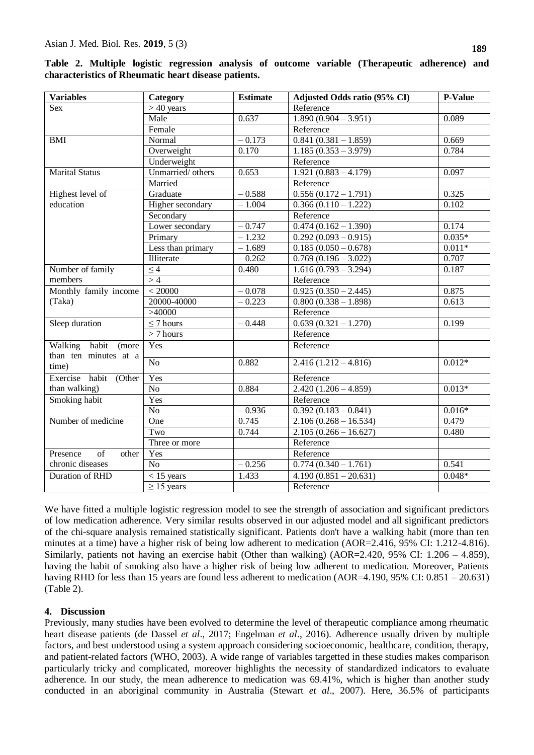| <b>Variables</b>                     | <b>Category</b>                               | <b>Estimate</b>                    | Adjusted Odds ratio (95% CI)       | P-Value  |
|--------------------------------------|-----------------------------------------------|------------------------------------|------------------------------------|----------|
| Sex                                  | $> 40$ years                                  |                                    | Reference                          |          |
|                                      | Male                                          | 0.637                              | $1.890(0.904 - 3.951)$             | 0.089    |
|                                      | Female                                        |                                    | Reference                          |          |
| <b>BMI</b>                           | Normal                                        | $-0.173$                           | $0.841(0.381 - 1.859)$             | 0.669    |
|                                      | Overweight                                    | 0.170                              | $1.185(0.353 - 3.979)$             | 0.784    |
|                                      | Underweight                                   |                                    | Reference                          |          |
| <b>Marital Status</b>                | Unmarried/others                              | 0.653                              | $1.921(0.883 - 4.179)$             | 0.097    |
|                                      | Married                                       |                                    | Reference                          |          |
| Highest level of                     | Graduate                                      | $-0.588$                           | $0.556(0.172 - 1.791)$             | 0.325    |
| education                            | Higher secondary                              | $-1.004$                           | $0.366(0.110 - 1.222)$             | 0.102    |
|                                      | Secondary                                     |                                    | Reference                          |          |
|                                      | Lower secondary                               | $-0.747$                           | $0.474(0.162 - 1.390)$             | 0.174    |
|                                      | Primary                                       | $-1.232$                           | $\overline{0.292(0.093-0.915)}$    | $0.035*$ |
|                                      | Less than primary                             | $-1.689$                           | $0.185(0.050 - 0.678)$             | $0.011*$ |
|                                      | Illiterate                                    | $-0.262$                           | $0.769(0.196 - 3.022)$             | 0.707    |
| Number of family                     | $\leq 4$                                      | 0.480                              | $1.616(0.793 - 3.294)$             | 0.187    |
| members                              | >4                                            |                                    | Reference                          |          |
| Monthly family income                | < 20000<br>$-0.078$<br>$0.925(0.350 - 2.445)$ |                                    |                                    | 0.875    |
| (Taka)                               | 20000-40000                                   | $-0.223$<br>$0.800(0.338 - 1.898)$ |                                    | 0.613    |
|                                      | >40000                                        |                                    | Reference                          |          |
| Sleep duration                       | $\leq$ 7 hours                                | $-0.448$                           | $0.639(0.321 - 1.270)$             | 0.199    |
|                                      | $> 7$ hours                                   |                                    | Reference                          |          |
| Walking habit<br>(more               | Yes                                           |                                    | Reference                          |          |
| than ten minutes at a<br>time)       | $\overline{No}$                               | 0.882                              | $2.416(1.212 - 4.816)$             | $0.012*$ |
| Exercise habit (Other                | Yes                                           |                                    | Reference                          |          |
| than walking)                        | $\overline{No}$                               | 0.884                              | $2.420(1.206 - 4.859)$             | $0.013*$ |
| Smoking habit                        | Yes                                           |                                    | Reference                          |          |
|                                      | N <sub>o</sub>                                | $-0.936$                           | $0.392(0.183 - 0.841)$             | $0.016*$ |
| Number of medicine                   | One                                           | 0.745                              | $2.106(0.268 - 16.534)$            | 0.479    |
|                                      | Two                                           | 0.744                              | $2.105(0.266 - 16.627)$            | 0.480    |
|                                      | Three or more                                 |                                    | Reference                          |          |
| $\overline{of}$<br>Presence<br>other | Yes                                           |                                    | Reference                          |          |
| chronic diseases                     | $\overline{No}$                               | $-0.256$                           | $\overline{0.774 (0.340 - 1.761)}$ | 0.541    |
| <b>Duration of RHD</b>               | $<$ 15 years                                  | 1.433                              | $4.190(0.851 - 20.631)$            | $0.048*$ |
|                                      | $\geq$ 15 years                               |                                    | Reference                          |          |

|                                                      |  |  |  |  |  |  |  |  | Table 2. Multiple logistic regression analysis of outcome variable (Therapeutic adherence) and |  |  |
|------------------------------------------------------|--|--|--|--|--|--|--|--|------------------------------------------------------------------------------------------------|--|--|
| characteristics of Rheumatic heart disease patients. |  |  |  |  |  |  |  |  |                                                                                                |  |  |

We have fitted a multiple logistic regression model to see the strength of association and significant predictors of low medication adherence. Very similar results observed in our adjusted model and all significant predictors of the chi-square analysis remained statistically significant. Patients don't have a walking habit (more than ten minutes at a time) have a higher risk of being low adherent to medication (AOR=2.416, 95% CI: 1.212-4.816). Similarly, patients not having an exercise habit (Other than walking) (AOR=2.420, 95% CI: 1.206 – 4.859), having the habit of smoking also have a higher risk of being low adherent to medication. Moreover, Patients having RHD for less than 15 years are found less adherent to medication (AOR=4.190, 95% CI: 0.851 – 20.631) (Table 2).

#### **4. Discussion**

Previously, many studies have been evolved to determine the level of therapeutic compliance among rheumatic heart disease patients (de Dassel *et al*., 2017; Engelman *et al*., 2016). Adherence usually driven by multiple factors, and best understood using a system approach considering socioeconomic, healthcare, condition, therapy, and patient-related factors (WHO, 2003). A wide range of variables targetted in these studies makes comparison particularly tricky and complicated, moreover highlights the necessity of standardized indicators to evaluate adherence. In our study, the mean adherence to medication was 69.41%, which is higher than another study conducted in an aboriginal community in Australia (Stewart *et al*., 2007). Here, 36.5% of participants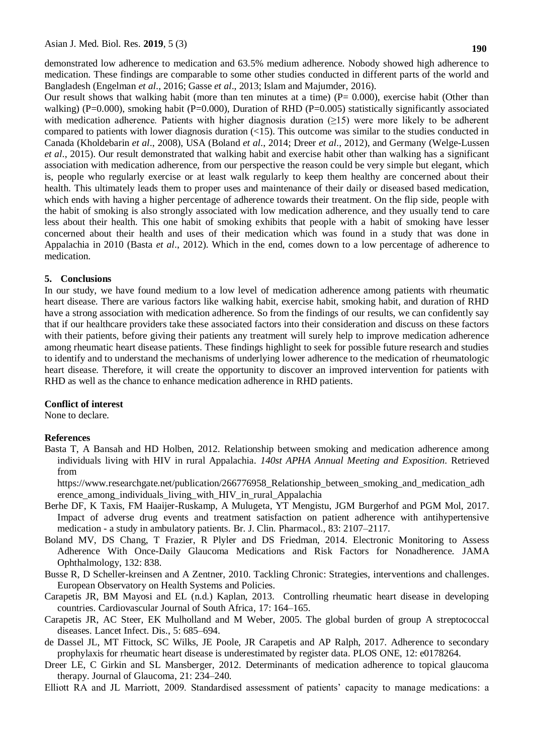demonstrated low adherence to medication and 63.5% medium adherence. Nobody showed high adherence to medication. These findings are comparable to some other studies conducted in different parts of the world and Bangladesh (Engelman *et al*., 2016; Gasse *et al*., 2013; Islam and Majumder, 2016).

Our result shows that walking habit (more than ten minutes at a time)  $(P= 0.000)$ , exercise habit (Other than walking) (P=0.000), smoking habit (P=0.000), Duration of RHD (P=0.005) statistically significantly associated with medication adherence. Patients with higher diagnosis duration  $(\geq 15)$  were more likely to be adherent compared to patients with lower diagnosis duration (<15). This outcome was similar to the studies conducted in Canada (Kholdebarin *et al*., 2008), USA (Boland *et al*., 2014; Dreer *et al*., 2012), and Germany (Welge-Lussen *et al*., 2015). Our result demonstrated that walking habit and exercise habit other than walking has a significant association with medication adherence, from our perspective the reason could be very simple but elegant, which is, people who regularly exercise or at least walk regularly to keep them healthy are concerned about their health. This ultimately leads them to proper uses and maintenance of their daily or diseased based medication, which ends with having a higher percentage of adherence towards their treatment. On the flip side, people with the habit of smoking is also strongly associated with low medication adherence, and they usually tend to care less about their health. This one habit of smoking exhibits that people with a habit of smoking have lesser concerned about their health and uses of their medication which was found in a study that was done in Appalachia in 2010 (Basta *et al*., 2012). Which in the end, comes down to a low percentage of adherence to medication.

#### **5. Conclusions**

In our study, we have found medium to a low level of medication adherence among patients with rheumatic heart disease. There are various factors like walking habit, exercise habit, smoking habit, and duration of RHD have a strong association with medication adherence. So from the findings of our results, we can confidently say that if our healthcare providers take these associated factors into their consideration and discuss on these factors with their patients, before giving their patients any treatment will surely help to improve medication adherence among rheumatic heart disease patients. These findings highlight to seek for possible future research and studies to identify and to understand the mechanisms of underlying lower adherence to the medication of rheumatologic heart disease. Therefore, it will create the opportunity to discover an improved intervention for patients with RHD as well as the chance to enhance medication adherence in RHD patients.

#### **Conflict of interest**

None to declare.

#### **References**

Basta T, A Bansah and HD Holben, 2012. Relationship between smoking and medication adherence among individuals living with HIV in rural Appalachia. *140st APHA Annual Meeting and Exposition*. Retrieved from

https://www.researchgate.net/publication/266776958\_Relationship\_between\_smoking\_and\_medication\_adh erence\_among\_individuals\_living\_with\_HIV\_in\_rural\_Appalachia

- Berhe DF, K Taxis, FM Haaijer-Ruskamp, A Mulugeta, YT Mengistu, JGM Burgerhof and PGM Mol, 2017. Impact of adverse drug events and treatment satisfaction on patient adherence with antihypertensive medication - a study in ambulatory patients. Br. J. Clin. Pharmacol., 83: 2107–2117.
- Boland MV, DS Chang, T Frazier, R Plyler and DS Friedman, 2014. Electronic Monitoring to Assess Adherence With Once-Daily Glaucoma Medications and Risk Factors for Nonadherence. JAMA Ophthalmology, 132: 838.
- Busse R, D Scheller-kreinsen and A Zentner, 2010. Tackling Chronic: Strategies, interventions and challenges. European Observatory on Health Systems and Policies.
- Carapetis JR, BM Mayosi and EL (n.d.) Kaplan, 2013. Controlling rheumatic heart disease in developing countries. Cardiovascular Journal of South Africa, 17: 164–165.
- Carapetis JR, AC Steer, EK Mulholland and M Weber, 2005. The global burden of group A streptococcal diseases. Lancet Infect. Dis., 5: 685–694.
- de Dassel JL, MT Fittock, SC Wilks, JE Poole, JR Carapetis and AP Ralph, 2017. Adherence to secondary prophylaxis for rheumatic heart disease is underestimated by register data. PLOS ONE, 12: e0178264.
- Dreer LE, C Girkin and SL Mansberger, 2012. Determinants of medication adherence to topical glaucoma therapy. Journal of Glaucoma, 21: 234–240.

Elliott RA and JL Marriott, 2009. Standardised assessment of patients' capacity to manage medications: a